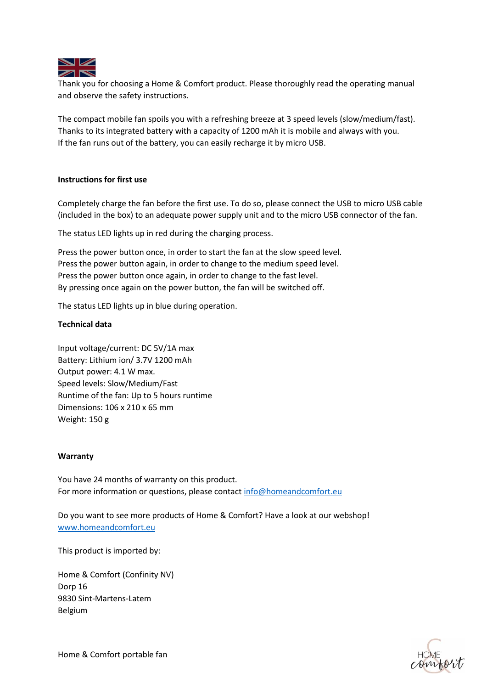

Thank you for choosing a Home & Comfort product. Please thoroughly read the operating manual and observe the safety instructions.

The compact mobile fan spoils you with a refreshing breeze at 3 speed levels (slow/medium/fast). Thanks to its integrated battery with a capacity of 1200 mAh it is mobile and always with you. If the fan runs out of the battery, you can easily recharge it by micro USB.

# **Instructions for first use**

Completely charge the fan before the first use. To do so, please connect the USB to micro USB cable (included in the box) to an adequate power supply unit and to the micro USB connector of the fan.

The status LED lights up in red during the charging process.

Press the power button once, in order to start the fan at the slow speed level. Press the power button again, in order to change to the medium speed level. Press the power button once again, in order to change to the fast level. By pressing once again on the power button, the fan will be switched off.

The status LED lights up in blue during operation.

# **Technical data**

Input voltage/current: DC 5V/1A max Battery: Lithium ion/ 3.7V 1200 mAh Output power: 4.1 W max. Speed levels: Slow/Medium/Fast Runtime of the fan: Up to 5 hours runtime Dimensions: 106 x 210 x 65 mm Weight: 150 g

### **Warranty**

You have 24 months of warranty on this product. For more information or questions, please contact [info@homeandcomfort.eu](mailto:info@homeandcomfort.eu)

Do you want to see more products of Home & Comfort? Have a look at our webshop! [www.homeandcomfort.eu](http://www.homeandcomfort.eu/)

This product is imported by:

Home & Comfort (Confinity NV) Dorp 16 9830 Sint-Martens-Latem Belgium

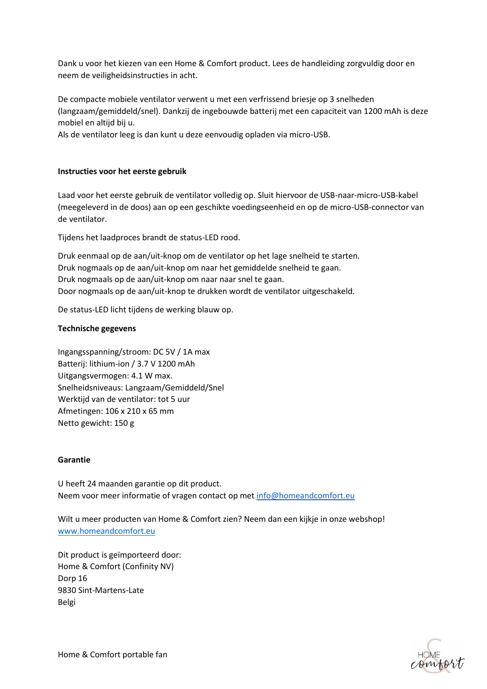Dank u voor het kiezen van een Home & Comfort product. Lees de handleiding zorgvuldig door en neem de veiligheidsinstructies in acht.

De compacte mobiele ventilator verwent u met een verfrissend briesje op 3 snelheden (langzaam/gemiddeld/snel). Dankzij de ingebouwde batterij met een capaciteit van 1200 mAh is deze mobiel en altijd bij u.

Als de ventilator leeg is dan kunt u deze eenvoudig opladen via micro-USB.

# **Instructies voor het eerste gebruik**

Laad voor het eerste gebruik de ventilator volledig op. Sluit hiervoor de USB-naar-micro-USB-kabel (meegeleverd in de doos) aan op een geschikte voedingseenheid en op de micro-USB-connector van de ventilator.

Tijdens het laadproces brandt de status-LED rood.

Druk eenmaal op de aan/uit-knop om de ventilator op het lage snelheid te starten. Druk nogmaals op de aan/uit-knop om naar het gemiddelde snelheid te gaan. Druk nogmaals op de aan/uit-knop om naar naar snel te gaan. Door nogmaals op de aan/uit-knop te drukken wordt de ventilator uitgeschakeld.

De status-LED licht tijdens de werking blauw op.

# **Technische gegevens**

Ingangsspanning/stroom: DC 5V / 1A max Batterij: lithium-ion / 3.7 V 1200 mAh Uitgangsvermogen: 4.1 W max. Snelheidsniveaus: Langzaam/Gemiddeld/Snel Werktijd van de ventilator: tot 5 uur Afmetingen: 106 x 210 x 65 mm Netto gewicht: 150 g

### **Garantie**

U heeft 24 maanden garantie op dit product. Neem voor meer informatie of vragen contact op met [info@homeandcomfort.eu](mailto:info@homeandcomfort.eu)

Wilt u meer producten van Home & Comfort zien? Neem dan een kijkje in onze webshop! [www.homeandcomfort.eu](http://www.homeandcomfort.eu/)

Dit product is geïmporteerd door: Home & Comfort (Confinity NV) Dorp 16 9830 Sint-Martens-Late Belgi

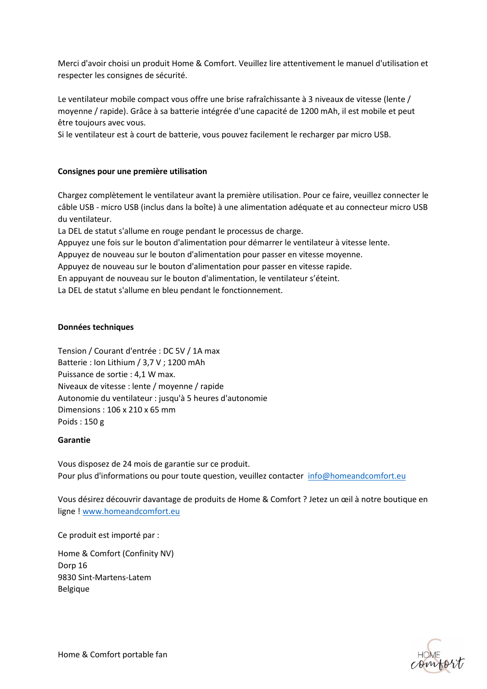Merci d'avoir choisi un produit Home & Comfort. Veuillez lire attentivement le manuel d'utilisation et respecter les consignes de sécurité.

Le ventilateur mobile compact vous offre une brise rafraîchissante à 3 niveaux de vitesse (lente / moyenne / rapide). Grâce à sa batterie intégrée d'une capacité de 1200 mAh, il est mobile et peut être toujours avec vous.

Si le ventilateur est à court de batterie, vous pouvez facilement le recharger par micro USB.

# **Consignes pour une première utilisation**

Chargez complètement le ventilateur avant la première utilisation. Pour ce faire, veuillez connecter le câble USB - micro USB (inclus dans la boîte) à une alimentation adéquate et au connecteur micro USB du ventilateur.

La DEL de statut s'allume en rouge pendant le processus de charge.

Appuyez une fois sur le bouton d'alimentation pour démarrer le ventilateur à vitesse lente.

Appuyez de nouveau sur le bouton d'alimentation pour passer en vitesse moyenne.

Appuyez de nouveau sur le bouton d'alimentation pour passer en vitesse rapide.

En appuyant de nouveau sur le bouton d'alimentation, le ventilateur s'éteint.

La DEL de statut s'allume en bleu pendant le fonctionnement.

# **Données techniques**

Tension / Courant d'entrée : DC 5V / 1A max Batterie : Ion Lithium / 3,7 V ; 1200 mAh Puissance de sortie : 4,1 W max. Niveaux de vitesse : lente / moyenne / rapide Autonomie du ventilateur : jusqu'à 5 heures d'autonomie Dimensions : 106 x 210 x 65 mm Poids : 150 g

### **Garantie**

Vous disposez de 24 mois de garantie sur ce produit. Pour plus d'informations ou pour toute question, veuillez contacter [info@homeandcomfort.eu](mailto:info@homeandcomfort.eu)

Vous désirez découvrir davantage de produits de Home & Comfort ? Jetez un œil à notre boutique en ligne ! [www.homeandcomfort.eu](http://www.homeandcomfort.eu/)

Ce produit est importé par :

Home & Comfort (Confinity NV) Dorp 16 9830 Sint-Martens-Latem Belgique

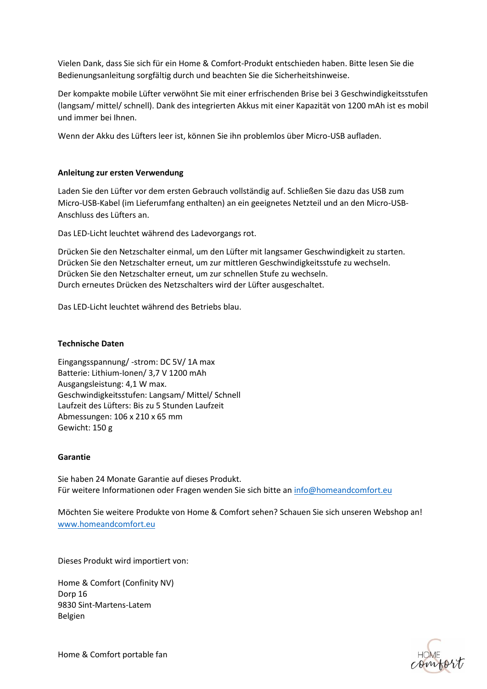Vielen Dank, dass Sie sich für ein Home & Comfort-Produkt entschieden haben. Bitte lesen Sie die Bedienungsanleitung sorgfältig durch und beachten Sie die Sicherheitshinweise.

Der kompakte mobile Lüfter verwöhnt Sie mit einer erfrischenden Brise bei 3 Geschwindigkeitsstufen (langsam/ mittel/ schnell). Dank des integrierten Akkus mit einer Kapazität von 1200 mAh ist es mobil und immer bei Ihnen.

Wenn der Akku des Lüfters leer ist, können Sie ihn problemlos über Micro-USB aufladen.

# **Anleitung zur ersten Verwendung**

Laden Sie den Lüfter vor dem ersten Gebrauch vollständig auf. Schließen Sie dazu das USB zum Micro-USB-Kabel (im Lieferumfang enthalten) an ein geeignetes Netzteil und an den Micro-USB-Anschluss des Lüfters an.

Das LED-Licht leuchtet während des Ladevorgangs rot.

Drücken Sie den Netzschalter einmal, um den Lüfter mit langsamer Geschwindigkeit zu starten. Drücken Sie den Netzschalter erneut, um zur mittleren Geschwindigkeitsstufe zu wechseln. Drücken Sie den Netzschalter erneut, um zur schnellen Stufe zu wechseln. Durch erneutes Drücken des Netzschalters wird der Lüfter ausgeschaltet.

Das LED-Licht leuchtet während des Betriebs blau.

## **Technische Daten**

Eingangsspannung/ -strom: DC 5V/ 1A max Batterie: Lithium-Ionen/ 3,7 V 1200 mAh Ausgangsleistung: 4,1 W max. Geschwindigkeitsstufen: Langsam/ Mittel/ Schnell Laufzeit des Lüfters: Bis zu 5 Stunden Laufzeit Abmessungen: 106 x 210 x 65 mm Gewicht: 150 g

### **Garantie**

Sie haben 24 Monate Garantie auf dieses Produkt. Für weitere Informationen oder Fragen wenden Sie sich bitte a[n info@homeandcomfort.eu](mailto:info@homeandcomfort.eu)

Möchten Sie weitere Produkte von Home & Comfort sehen? Schauen Sie sich unseren Webshop an! [www.homeandcomfort.eu](http://www.homeandcomfort.eu/)

Dieses Produkt wird importiert von:

Home & Comfort (Confinity NV) Dorp 16 9830 Sint-Martens-Latem Belgien

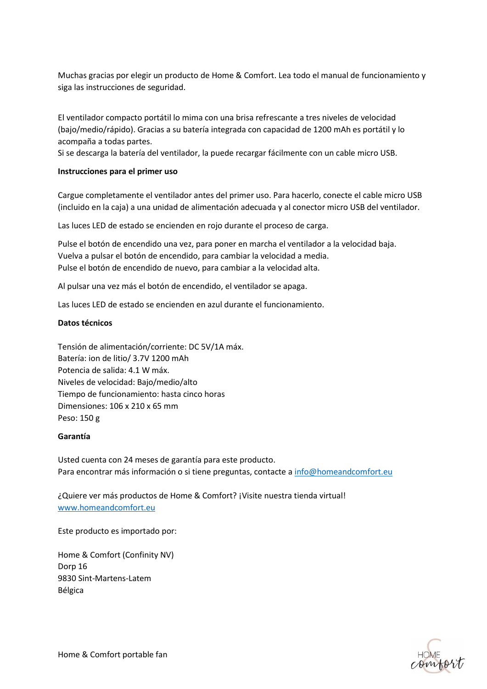Muchas gracias por elegir un producto de Home & Comfort. Lea todo el manual de funcionamiento y siga las instrucciones de seguridad.

El ventilador compacto portátil lo mima con una brisa refrescante a tres niveles de velocidad (bajo/medio/rápido). Gracias a su batería integrada con capacidad de 1200 mAh es portátil y lo acompaña a todas partes.

Si se descarga la batería del ventilador, la puede recargar fácilmente con un cable micro USB.

#### **Instrucciones para el primer uso**

Cargue completamente el ventilador antes del primer uso. Para hacerlo, conecte el cable micro USB (incluido en la caja) a una unidad de alimentación adecuada y al conector micro USB del ventilador.

Las luces LED de estado se encienden en rojo durante el proceso de carga.

Pulse el botón de encendido una vez, para poner en marcha el ventilador a la velocidad baja. Vuelva a pulsar el botón de encendido, para cambiar la velocidad a media. Pulse el botón de encendido de nuevo, para cambiar a la velocidad alta.

Al pulsar una vez más el botón de encendido, el ventilador se apaga.

Las luces LED de estado se encienden en azul durante el funcionamiento.

#### **Datos técnicos**

Tensión de alimentación/corriente: DC 5V/1A máx. Batería: ion de litio/ 3.7V 1200 mAh Potencia de salida: 4.1 W máx. Niveles de velocidad: Bajo/medio/alto Tiempo de funcionamiento: hasta cinco horas Dimensiones: 106 x 210 x 65 mm Peso: 150 g

#### **Garantía**

Usted cuenta con 24 meses de garantía para este producto. Para encontrar más información o si tiene preguntas, contacte a [info@homeandcomfort.eu](mailto:info@homeandcomfort.eu)

¿Quiere ver más productos de Home & Comfort? ¡Visite nuestra tienda virtual! [www.homeandcomfort.eu](http://www.homeandcomfort.eu/)

Este producto es importado por:

Home & Comfort (Confinity NV) Dorp 16 9830 Sint-Martens-Latem Bélgica

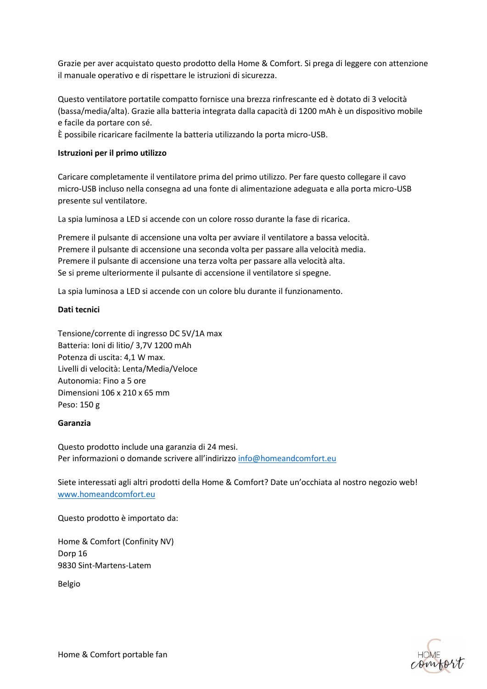Grazie per aver acquistato questo prodotto della Home & Comfort. Si prega di leggere con attenzione il manuale operativo e di rispettare le istruzioni di sicurezza.

Questo ventilatore portatile compatto fornisce una brezza rinfrescante ed è dotato di 3 velocità (bassa/media/alta). Grazie alla batteria integrata dalla capacità di 1200 mAh è un dispositivo mobile e facile da portare con sé.

È possibile ricaricare facilmente la batteria utilizzando la porta micro-USB.

# **Istruzioni per il primo utilizzo**

Caricare completamente il ventilatore prima del primo utilizzo. Per fare questo collegare il cavo micro-USB incluso nella consegna ad una fonte di alimentazione adeguata e alla porta micro-USB presente sul ventilatore.

La spia luminosa a LED si accende con un colore rosso durante la fase di ricarica.

Premere il pulsante di accensione una volta per avviare il ventilatore a bassa velocità. Premere il pulsante di accensione una seconda volta per passare alla velocità media. Premere il pulsante di accensione una terza volta per passare alla velocità alta. Se si preme ulteriormente il pulsante di accensione il ventilatore si spegne.

La spia luminosa a LED si accende con un colore blu durante il funzionamento.

# **Dati tecnici**

Tensione/corrente di ingresso DC 5V/1A max Batteria: Ioni di litio/ 3,7V 1200 mAh Potenza di uscita: 4,1 W max. Livelli di velocità: Lenta/Media/Veloce Autonomia: Fino a 5 ore Dimensioni 106 x 210 x 65 mm Peso: 150 g

### **Garanzia**

Questo prodotto include una garanzia di 24 mesi. Per informazioni o domande scrivere all'indirizzo [info@homeandcomfort.eu](mailto:info@homeandcomfort.eu)

Siete interessati agli altri prodotti della Home & Comfort? Date un'occhiata al nostro negozio web! [www.homeandcomfort.eu](http://www.homeandcomfort.eu/)

Questo prodotto è importato da:

Home & Comfort (Confinity NV) Dorp 16 9830 Sint-Martens-Latem

Belgio

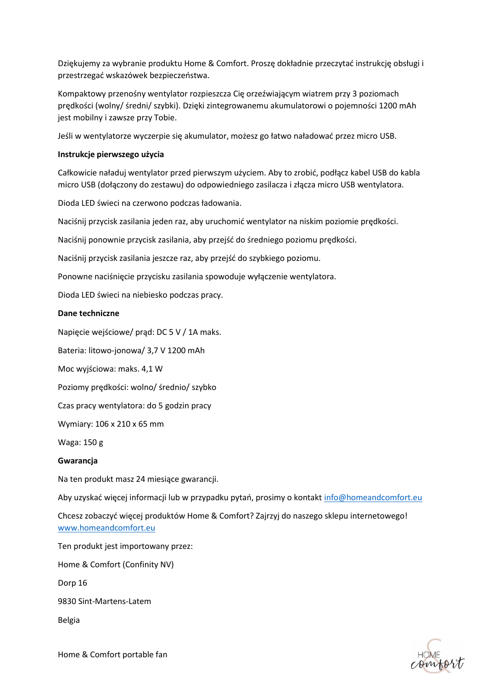Dziękujemy za wybranie produktu Home & Comfort. Proszę dokładnie przeczytać instrukcję obsługi i przestrzegać wskazówek bezpieczeństwa.

Kompaktowy przenośny wentylator rozpieszcza Cię orzeźwiającym wiatrem przy 3 poziomach prędkości (wolny/ średni/ szybki). Dzięki zintegrowanemu akumulatorowi o pojemności 1200 mAh jest mobilny i zawsze przy Tobie.

Jeśli w wentylatorze wyczerpie się akumulator, możesz go łatwo naładować przez micro USB.

# **Instrukcje pierwszego użycia**

Całkowicie naładuj wentylator przed pierwszym użyciem. Aby to zrobić, podłącz kabel USB do kabla micro USB (dołączony do zestawu) do odpowiedniego zasilacza i złącza micro USB wentylatora.

Dioda LED świeci na czerwono podczas ładowania.

Naciśnij przycisk zasilania jeden raz, aby uruchomić wentylator na niskim poziomie prędkości.

Naciśnij ponownie przycisk zasilania, aby przejść do średniego poziomu prędkości.

Naciśnij przycisk zasilania jeszcze raz, aby przejść do szybkiego poziomu.

Ponowne naciśnięcie przycisku zasilania spowoduje wyłączenie wentylatora.

Dioda LED świeci na niebiesko podczas pracy.

# **Dane techniczne**

Napięcie wejściowe/ prąd: DC 5 V / 1A maks.

Bateria: litowo-jonowa/ 3,7 V 1200 mAh

Moc wyjściowa: maks. 4,1 W

Poziomy prędkości: wolno/ średnio/ szybko

Czas pracy wentylatora: do 5 godzin pracy

Wymiary: 106 x 210 x 65 mm

Waga: 150 g

### **Gwarancja**

Na ten produkt masz 24 miesiące gwarancji.

Aby uzyskać więcej informacji lub w przypadku pytań, prosimy o kontakt [info@homeandcomfort.eu](mailto:info@homeandcomfort.eu)

Chcesz zobaczyć więcej produktów Home & Comfort? Zajrzyj do naszego sklepu internetowego! [www.homeandcomfort.eu](http://www.homeandcomfort.eu/)

Ten produkt jest importowany przez:

Home & Comfort (Confinity NV)

Dorp 16

9830 Sint-Martens-Latem

Belgia